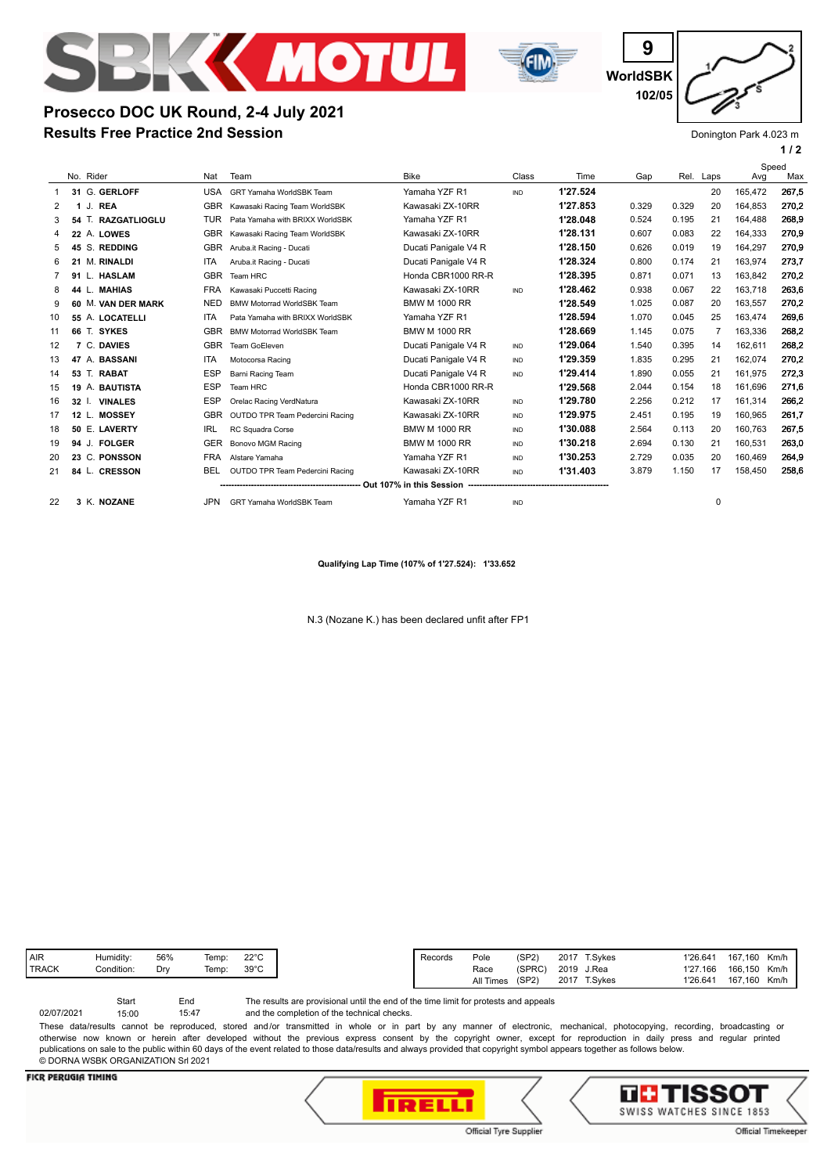

**Results Free Practice 2nd Session**

**Prosecco DOC UK Round, 2-4 July 2021**



**WorldSBK 9 102/05**

Donington Park 4.023 m

**1 / 2**

|    |                           |            |                                   |                      |            |          |       |       |      | Speed   |       |
|----|---------------------------|------------|-----------------------------------|----------------------|------------|----------|-------|-------|------|---------|-------|
|    | No. Rider                 | Nat        | Team                              | <b>Bike</b>          | Class      | Time     | Gap   | Rel.  | Laps | Avg     | Max   |
| 1  | 31 G. GERLOFF             | <b>USA</b> | <b>GRT Yamaha WorldSBK Team</b>   | Yamaha YZF R1        | <b>IND</b> | 1'27.524 |       |       | 20   | 165.472 | 267,5 |
| 2  | <b>REA</b><br>J.          | <b>GBR</b> | Kawasaki Racing Team WorldSBK     | Kawasaki ZX-10RR     |            | 1'27.853 | 0.329 | 0.329 | 20   | 164.853 | 270,2 |
| 3  | 54 T. RAZGATLIOGLU        | TUR        | Pata Yamaha with BRIXX WorldSBK   | Yamaha YZF R1        |            | 1'28.048 | 0.524 | 0.195 | 21   | 164.488 | 268.9 |
|    | 22 A. LOWES               | <b>GBR</b> | Kawasaki Racing Team WorldSBK     | Kawasaki ZX-10RR     |            | 1'28.131 | 0.607 | 0.083 | 22   | 164.333 | 270,9 |
| 5  | S. REDDING<br>45          | <b>GBR</b> | Aruba.it Racing - Ducati          | Ducati Panigale V4 R |            | 1'28.150 | 0.626 | 0.019 | 19   | 164,297 | 270,9 |
| 6  | M. RINALDI<br>21          | <b>ITA</b> | Aruba.it Racing - Ducati          | Ducati Panigale V4 R |            | 1'28.324 | 0.800 | 0.174 | 21   | 163.974 | 273.7 |
|    | 91 L. HASLAM              | <b>GBR</b> | Team HRC                          | Honda CBR1000 RR-R   |            | 1'28.395 | 0.871 | 0.071 | 13   | 163.842 | 270.2 |
| 8  | <b>MAHIAS</b><br>44 L.    | <b>FRA</b> | Kawasaki Puccetti Racing          | Kawasaki ZX-10RR     | <b>IND</b> | 1'28.462 | 0.938 | 0.067 | 22   | 163.718 | 263,6 |
| 9  | 60 M. VAN DER MARK        | <b>NED</b> | <b>BMW Motorrad WorldSBK Team</b> | <b>BMW M 1000 RR</b> |            | 1'28.549 | 1.025 | 0.087 | 20   | 163.557 | 270,2 |
| 10 | 55 A. LOCATELLI           | <b>ITA</b> | Pata Yamaha with BRIXX WorldSBK   | Yamaha YZF R1        |            | 1'28.594 | 1.070 | 0.045 | 25   | 163,474 | 269.6 |
| 11 | 66 T. SYKES               | <b>GBR</b> | <b>BMW Motorrad WorldSBK Team</b> | <b>BMW M 1000 RR</b> |            | 1'28.669 | 1.145 | 0.075 |      | 163.336 | 268,2 |
| 12 | 7 C. DAVIES               | <b>GBR</b> | Team GoEleven                     | Ducati Panigale V4 R | <b>IND</b> | 1'29.064 | 1.540 | 0.395 | 14   | 162.611 | 268,2 |
| 13 | 47 A. BASSANI             | <b>ITA</b> | Motocorsa Racing                  | Ducati Panigale V4 R | <b>IND</b> | 1'29.359 | 1.835 | 0.295 | 21   | 162.074 | 270,2 |
| 14 | 53 T. RABAT               | <b>ESP</b> | Barni Racing Team                 | Ducati Panigale V4 R | <b>IND</b> | 1'29.414 | 1.890 | 0.055 | 21   | 161,975 | 272,3 |
| 15 | 19 A. BAUTISTA            | <b>ESP</b> | Team HRC                          | Honda CBR1000 RR-R   |            | 1'29.568 | 2.044 | 0.154 | 18   | 161.696 | 271,6 |
| 16 | <b>VINALES</b><br>$32$ I. | <b>ESP</b> | Orelac Racing VerdNatura          | Kawasaki ZX-10RR     | <b>IND</b> | 1'29.780 | 2.256 | 0.212 | 17   | 161.314 | 266,2 |
| 17 | <b>MOSSEY</b><br>12 L.    | <b>GBR</b> | OUTDO TPR Team Pedercini Racing   | Kawasaki ZX-10RR     | <b>IND</b> | 1'29.975 | 2.451 | 0.195 | 19   | 160.965 | 261.7 |
| 18 | 50 E. LAVERTY             | <b>IRL</b> | RC Squadra Corse                  | <b>BMW M 1000 RR</b> | <b>IND</b> | 1'30.088 | 2.564 | 0.113 | 20   | 160.763 | 267,5 |
| 19 | <b>FOLGER</b><br>94 J.    | <b>GER</b> | Bonovo MGM Racing                 | <b>BMW M 1000 RR</b> | <b>IND</b> | 1'30.218 | 2.694 | 0.130 | 21   | 160,531 | 263,0 |
| 20 | 23 C. PONSSON             | <b>FRA</b> | Alstare Yamaha                    | Yamaha YZF R1        | <b>IND</b> | 1'30.253 | 2.729 | 0.035 | 20   | 160.469 | 264.9 |
| 21 | 84 L. CRESSON             | <b>BEL</b> | OUTDO TPR Team Pedercini Racing   | Kawasaki ZX-10RR     | <b>IND</b> | 1'31.403 | 3.879 | 1.150 | 17   | 158,450 | 258,6 |

**Qualifying Lap Time (107% of 1'27.524): 1'33.652**

**-------------------------------------------------- Out 107% in this Session --------------------------------------------------**

22 **3** K. **NOZANE** JPN GRT Yamaha WorldSBK Team Yamaha YZF R1 IND 0

N.3 (Nozane K.) has been declared unfit after FP1

| (SPRC)<br>Race | 2019                     | J.Rea   | 1'27.166 | 166,150 |
|----------------|--------------------------|---------|----------|---------|
| (SP2)          | 2017<br><b>All Times</b> | T.Svkes | 1'26.641 | 167,160 |
|                |                          |         |          |         |
|                |                          |         |          |         |

The results are provisional until the end of the time limit for protests and appeals Start End 02/07/2021 15:00

and the completion of the technical checks. 15:47

These data/results cannot be reproduced, stored and/or transmitted in whole or in part by any manner of electronic, mechanical, photocopying, recording, broadcasting or otherwise now known or herein after developed without the previous express consent by the copyright owner, except for reproduction in daily press and regular printed publications on sale to the public within 60 days of the event related to those data/results and always provided that copyright symbol appears together as follows below. © DORNA WSBK ORGANIZATION Srl 2021

## **FICR PERUGIA TIMING**





Official Timekeeper